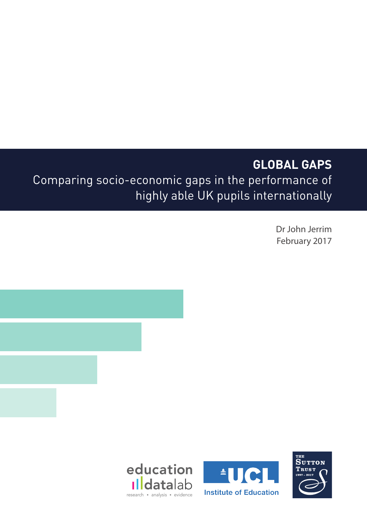# **GLOBAL GAPS** Comparing socio-economic gaps in the performance of highly able UK pupils internationally

Dr John Jerrim February 2017



**AUCI** 

**Institute of Education** 

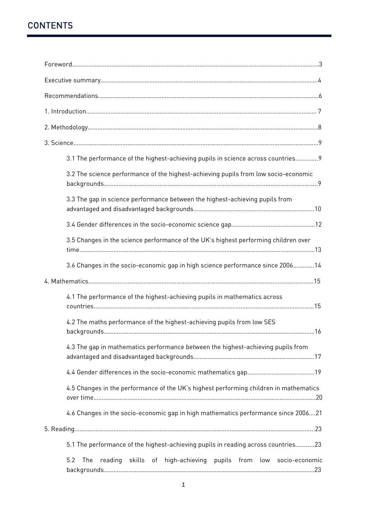| 3.1 The performance of the highest-achieving pupils in science across countries 9     |
|---------------------------------------------------------------------------------------|
| 3.2 The science performance of the highest-achieving pupils from low socio-economic   |
| 3.3 The gap in science performance between the highest-achieving pupils from          |
|                                                                                       |
| 3.5 Changes in the science performance of the UK's highest performing children over   |
| 3.6 Changes in the socio-economic gap in high science performance since 200614        |
|                                                                                       |
| 4.1 The performance of the highest-achieving pupils in mathematics across             |
| 4.2 The maths performance of the highest-achieving pupils from low SES                |
| 4.3 The gap in mathematics performance between the highest-achieving pupils from      |
|                                                                                       |
| 4.5 Changes in the performance of the UK's highest performing children in mathematics |
| 4.6 Changes in the socio-economic gap in high mathematics performance since 200621    |
|                                                                                       |
| 5.1 The performance of the highest-achieving pupils in reading across countries23     |
| reading skills of high-achieving pupils from low socio-economic<br>5.2<br>The         |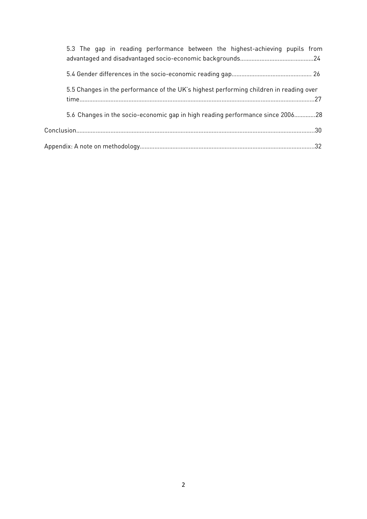| 5.3 The gap in reading performance between the highest-achieving pupils from           |  |
|----------------------------------------------------------------------------------------|--|
|                                                                                        |  |
| 5.5 Changes in the performance of the UK's highest performing children in reading over |  |
| 5.6 Changes in the socio-economic gap in high reading performance since 200628         |  |
|                                                                                        |  |
|                                                                                        |  |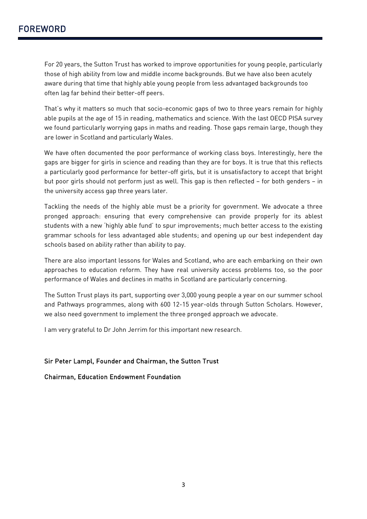# FOREWORD

For 20 years, the Sutton Trust has worked to improve opportunities for young people, particularly those of high ability from low and middle income backgrounds. But we have also been acutely aware during that time that highly able young people from less advantaged backgrounds too often lag far behind their better-off peers.

That's why it matters so much that socio-economic gaps of two to three years remain for highly able pupils at the age of 15 in reading, mathematics and science. With the last OECD PISA survey we found particularly worrying gaps in maths and reading. Those gaps remain large, though they are lower in Scotland and particularly Wales.

We have often documented the poor performance of working class boys. Interestingly, here the gaps are bigger for girls in science and reading than they are for boys. It is true that this reflects a particularly good performance for better-off girls, but it is unsatisfactory to accept that bright but poor girls should not perform just as well. This gap is then reflected – for both genders – in the university access gap three years later.

Tackling the needs of the highly able must be a priority for government. We advocate a three pronged approach: ensuring that every comprehensive can provide properly for its ablest students with a new 'highly able fund' to spur improvements; much better access to the existing grammar schools for less advantaged able students; and opening up our best independent day schools based on ability rather than ability to pay.

There are also important lessons for Wales and Scotland, who are each embarking on their own approaches to education reform. They have real university access problems too, so the poor performance of Wales and declines in maths in Scotland are particularly concerning.

The Sutton Trust plays its part, supporting over 3,000 young people a year on our summer school and Pathways programmes, along with 600 12-15 year-olds through Sutton Scholars. However, we also need government to implement the three pronged approach we advocate.

I am very grateful to Dr John Jerrim for this important new research.

#### Sir Peter Lampl, Founder and Chairman, the Sutton Trust

Chairman, Education Endowment Foundation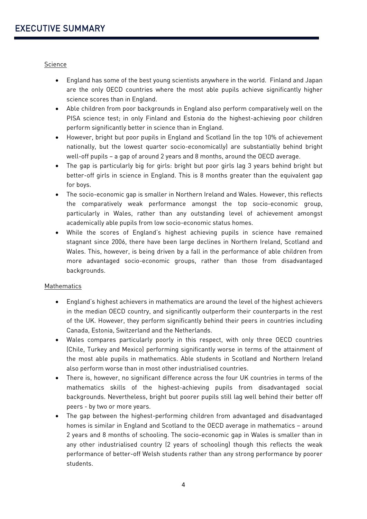# Science

- England has some of the best young scientists anywhere in the world. Finland and Japan are the only OECD countries where the most able pupils achieve significantly higher science scores than in England.
- Able children from poor backgrounds in England also perform comparatively well on the PISA science test; in only Finland and Estonia do the highest-achieving poor children perform significantly better in science than in England.
- However, bright but poor pupils in England and Scotland (in the top 10% of achievement nationally, but the lowest quarter socio-economically) are substantially behind bright well-off pupils – a gap of around 2 years and 8 months, around the OECD average.
- The gap is particularly big for girls: bright but poor girls lag 3 years behind bright but better-off girls in science in England. This is 8 months greater than the equivalent gap for boys.
- The socio-economic gap is smaller in Northern Ireland and Wales. However, this reflects the comparatively weak performance amongst the top socio-economic group, particularly in Wales, rather than any outstanding level of achievement amongst academically able pupils from low socio-economic status homes.
- While the scores of England's highest achieving pupils in science have remained stagnant since 2006, there have been large declines in Northern Ireland, Scotland and Wales. This, however, is being driven by a fall in the performance of able children from more advantaged socio-economic groups, rather than those from disadvantaged backgrounds.

# **Mathematics**

- England's highest achievers in mathematics are around the level of the highest achievers in the median OECD country, and significantly outperform their counterparts in the rest of the UK. However, they perform significantly behind their peers in countries including Canada, Estonia, Switzerland and the Netherlands.
- Wales compares particularly poorly in this respect, with only three OECD countries (Chile, Turkey and Mexico) performing significantly worse in terms of the attainment of the most able pupils in mathematics. Able students in Scotland and Northern Ireland also perform worse than in most other industrialised countries.
- There is, however, no significant difference across the four UK countries in terms of the mathematics skills of the highest-achieving pupils from disadvantaged social backgrounds. Nevertheless, bright but poorer pupils still lag well behind their better off peers - by two or more years.
- The gap between the highest-performing children from advantaged and disadvantaged homes is similar in England and Scotland to the OECD average in mathematics – around 2 years and 8 months of schooling. The socio-economic gap in Wales is smaller than in any other industrialised country (2 years of schooling) though this reflects the weak performance of better-off Welsh students rather than any strong performance by poorer students.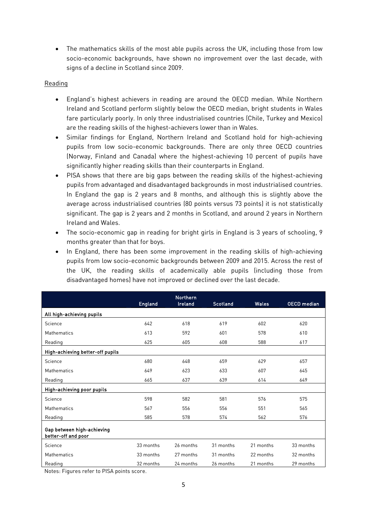• The mathematics skills of the most able pupils across the UK, including those from low socio-economic backgrounds, have shown no improvement over the last decade, with signs of a decline in Scotland since 2009.

#### **Reading**

- England's highest achievers in reading are around the OECD median. While Northern Ireland and Scotland perform slightly below the OECD median, bright students in Wales fare particularly poorly. In only three industrialised countries (Chile, Turkey and Mexico) are the reading skills of the highest-achievers lower than in Wales.
- Similar findings for England, Northern Ireland and Scotland hold for high-achieving pupils from low socio-economic backgrounds. There are only three OECD countries (Norway, Finland and Canada) where the highest-achieving 10 percent of pupils have significantly higher reading skills than their counterparts in England.
- PISA shows that there are big gaps between the reading skills of the highest-achieving pupils from advantaged and disadvantaged backgrounds in most industrialised countries. In England the gap is 2 years and 8 months, and although this is slightly above the average across industrialised countries (80 points versus 73 points) it is not statistically significant. The gap is 2 years and 2 months in Scotland, and around 2 years in Northern Ireland and Wales.
- The socio-economic gap in reading for bright girls in England is 3 years of schooling, 9 months greater than that for boys.
- In England, there has been some improvement in the reading skills of high-achieving pupils from low socio-economic backgrounds between 2009 and 2015. Across the rest of the UK, the reading skills of academically able pupils (including those from disadvantaged homes) have not improved or declined over the last decade.

|                                                   |                | <b>Northern</b><br>Ireland | <b>Scotland</b> | <b>Wales</b> | <b>OECD</b> median |
|---------------------------------------------------|----------------|----------------------------|-----------------|--------------|--------------------|
|                                                   | <b>England</b> |                            |                 |              |                    |
| All high-achieving pupils                         |                |                            |                 |              |                    |
| Science                                           | 642            | 618                        | 619             | 602          | 620                |
| Mathematics                                       | 613            | 592                        | 601             | 578          | 610                |
| Reading                                           | 625            | 605                        | 608             | 588          | 617                |
| High-achieving better-off pupils                  |                |                            |                 |              |                    |
| Science                                           | 680            | 648                        | 659             | 629          | 657                |
| Mathematics                                       | 649            | 623                        | 633             | 607          | 645                |
| Reading                                           | 665            | 637                        | 639             | 614          | 649                |
| High-achieving poor pupils                        |                |                            |                 |              |                    |
| Science                                           | 598            | 582                        | 581             | 576          | 575                |
| Mathematics                                       | 567            | 556                        | 556             | 551          | 565                |
| Reading                                           | 585            | 578                        | 574             | 562          | 576                |
| Gap between high-achieving<br>better-off and poor |                |                            |                 |              |                    |
| Science                                           | 33 months      | 26 months                  | 31 months       | 21 months    | 33 months          |
| Mathematics                                       | 33 months      | 27 months                  | 31 months       | 22 months    | 32 months          |
| Reading                                           | 32 months      | 24 months                  | 26 months       | 21 months    | 29 months          |

Notes: Figures refer to PISA points score.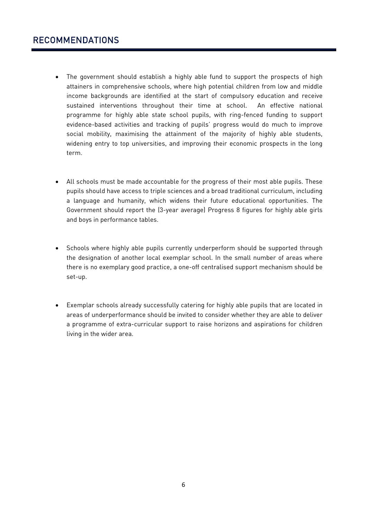l

- The government should establish a highly able fund to support the prospects of high attainers in comprehensive schools, where high potential children from low and middle income backgrounds are identified at the start of compulsory education and receive sustained interventions throughout their time at school. An effective national programme for highly able state school pupils, with ring-fenced funding to support evidence-based activities and tracking of pupils' progress would do much to improve social mobility, maximising the attainment of the majority of highly able students, widening entry to top universities, and improving their economic prospects in the long term.
- All schools must be made accountable for the progress of their most able pupils. These pupils should have access to triple sciences and a broad traditional curriculum, including a language and humanity, which widens their future educational opportunities. The Government should report the (3-year average) Progress 8 figures for highly able girls and boys in performance tables.
- Schools where highly able pupils currently underperform should be supported through the designation of another local exemplar school. In the small number of areas where there is no exemplary good practice, a one-off centralised support mechanism should be set-up.
- Exemplar schools already successfully catering for highly able pupils that are located in areas of underperformance should be invited to consider whether they are able to deliver a programme of extra-curricular support to raise horizons and aspirations for children living in the wider area.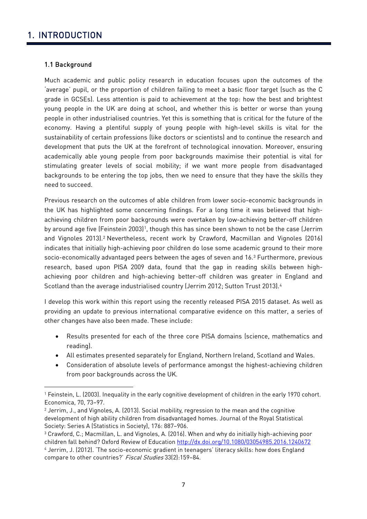# 1.1 Background

**.** 

Much academic and public policy research in education focuses upon the outcomes of the 'average' pupil, or the proportion of children failing to meet a basic floor target (such as the C grade in GCSEs). Less attention is paid to achievement at the top: how the best and brightest young people in the UK are doing at school, and whether this is better or worse than young people in other industrialised countries. Yet this is something that is critical for the future of the economy. Having a plentiful supply of young people with high-level skills is vital for the sustainability of certain professions (like doctors or scientists) and to continue the research and development that puts the UK at the forefront of technological innovation. Moreover, ensuring academically able young people from poor backgrounds maximise their potential is vital for stimulating greater levels of social mobility; if we want more people from disadvantaged backgrounds to be entering the top jobs, then we need to ensure that they have the skills they need to succeed.

Previous research on the outcomes of able children from lower socio-economic backgrounds in the UK has highlighted some concerning findings. For a long time it was believed that highachieving children from poor backgrounds were overtaken by low-achieving better-off children by around age five (Feinstein 2003)<sup>[1](#page-7-0)</sup>, though this has since been shown to not be the case (Jerrim and Vignoles [2](#page-7-1)013).<sup>2</sup> Nevertheless, recent work by Crawford, Macmillan and Vignoles (2016) indicates that initially high-achieving poor children do lose some academic ground to their more socio-economically advantaged peers between the ages of seven and 16.[3](#page-7-2) Furthermore, previous research, based upon PISA 2009 data, found that the gap in reading skills between highachieving poor children and high-achieving better-off children was greater in England and Scotland than the average industrialised country (Jerrim 2012; Sutton Trust 2013).[4](#page-7-3)

I develop this work within this report using the recently released PISA 2015 dataset. As well as providing an update to previous international comparative evidence on this matter, a series of other changes have also been made. These include:

- Results presented for each of the three core PISA domains (science, mathematics and reading).
- All estimates presented separately for England, Northern Ireland, Scotland and Wales.
- Consideration of absolute levels of performance amongst the highest-achieving children from poor backgrounds across the UK.

<span id="page-7-0"></span><sup>1</sup> Feinstein, L. (2003). Inequality in the early cognitive development of children in the early 1970 cohort. Economica, 70, 73–97.

<span id="page-7-1"></span><sup>&</sup>lt;sup>2</sup> Jerrim, J., and Vignoles, A. (2013). Social mobility, regression to the mean and the cognitive development of high ability children from disadvantaged homes. Journal of the Royal Statistical Society: Series A (Statistics in Society), 176: 887–906.

<span id="page-7-2"></span><sup>3</sup> Crawford, C.; Macmillan, L. and Vignoles, A. (2016). When and why do initially high-achieving poor children fall behind? Oxford Review of Education<http://dx.doi.org/10.1080/03054985.2016.1240672>

<span id="page-7-3"></span><sup>4</sup> Jerrim, J. (2012). 'The socio-economic gradient in teenagers' literacy skills: how does England compare to other countries?' Fiscal Studies 33(2):159-84.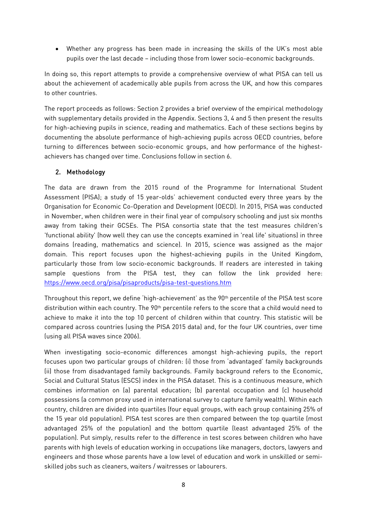• Whether any progress has been made in increasing the skills of the UK's most able pupils over the last decade – including those from lower socio-economic backgrounds.

In doing so, this report attempts to provide a comprehensive overview of what PISA can tell us about the achievement of academically able pupils from across the UK, and how this compares to other countries.

The report proceeds as follows: Section 2 provides a brief overview of the empirical methodology with supplementary details provided in the Appendix. Sections 3, 4 and 5 then present the results for high-achieving pupils in science, reading and mathematics. Each of these sections begins by documenting the absolute performance of high-achieving pupils across OECD countries, before turning to differences between socio-economic groups, and how performance of the highestachievers has changed over time. Conclusions follow in section 6.

## 2. Methodology

The data are drawn from the 2015 round of the Programme for International Student Assessment (PISA); a study of 15 year-olds' achievement conducted every three years by the Organisation for Economic Co-Operation and Development (OECD). In 2015, PISA was conducted in November, when children were in their final year of compulsory schooling and just six months away from taking their GCSEs. The PISA consortia state that the test measures children's 'functional ability' (how well they can use the concepts examined in 'real life' situations) in three domains (reading, mathematics and science). In 2015, science was assigned as the major domain. This report focuses upon the highest-achieving pupils in the United Kingdom, particularly those from low socio-economic backgrounds. If readers are interested in taking sample questions from the PISA test, they can follow the link provided here: <https://www.oecd.org/pisa/pisaproducts/pisa-test-questions.htm>

Throughout this report, we define 'high-achievement' as the 90<sup>th</sup> percentile of the PISA test score distribution within each country. The 90<sup>th</sup> percentile refers to the score that a child would need to achieve to make it into the top 10 percent of children within that country. This statistic will be compared across countries (using the PISA 2015 data) and, for the four UK countries, over time (using all PISA waves since 2006).

When investigating socio-economic differences amongst high-achieving pupils, the report focuses upon two particular groups of children: (i) those from 'advantaged' family backgrounds (ii) those from disadvantaged family backgrounds. Family background refers to the Economic, Social and Cultural Status (ESCS) index in the PISA dataset. This is a continuous measure, which combines information on (a) parental education; (b) parental occupation and (c) household possessions (a common proxy used in international survey to capture family wealth). Within each country, children are divided into quartiles (four equal groups, with each group containing 25% of the 15 year old population). PISA test scores are then compared between the top quartile (most advantaged 25% of the population) and the bottom quartile (least advantaged 25% of the population). Put simply, results refer to the difference in test scores between children who have parents with high levels of education working in occupations like managers, doctors, lawyers and engineers and those whose parents have a low level of education and work in unskilled or semiskilled jobs such as cleaners, waiters / waitresses or labourers.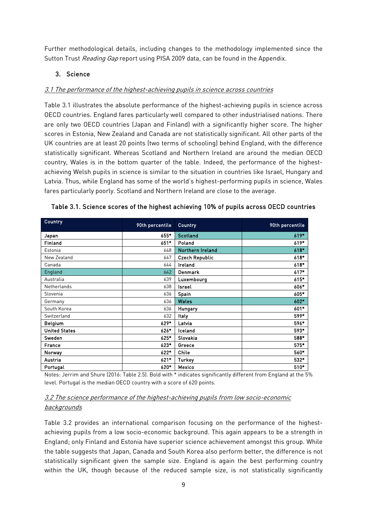Further methodological details, including changes to the methodology implemented since the Sutton Trust Reading Gap report using PISA 2009 data, can be found in the Appendix.

# 3. Science

# 3.1 The performance of the highest-achieving pupils in science across countries

Table 3.1 illustrates the absolute performance of the highest-achieving pupils in science across OECD countries. England fares particularly well compared to other industrialised nations. There are only two OECD countries (Japan and Finland) with a significantly higher score. The higher scores in Estonia, New Zealand and Canada are not statistically significant. All other parts of the UK countries are at least 20 points (two terms of schooling) behind England, with the difference statistically significant. Whereas Scotland and Northern Ireland are around the median OECD country, Wales is in the bottom quarter of the table. Indeed, the performance of the highestachieving Welsh pupils in science is similar to the situation in countries like Israel, Hungary and Latvia. Thus, while England has some of the world's highest-performing pupils in science, Wales fares particularly poorly. Scotland and Northern Ireland are close to the average.

| Country              | 90th percentile | Country                 | 90th percentile |
|----------------------|-----------------|-------------------------|-----------------|
| Japan                | $655*$          | <b>Scotland</b>         | $619*$          |
| Finland              | $651*$          | Poland                  | $619*$          |
| Estonia              | 648             | <b>Northern Ireland</b> | $618*$          |
| New Zealand          | 647             | <b>Czech Republic</b>   | $618*$          |
| Canada               | 644             | Ireland                 | $618*$          |
| England              | 642             | <b>Denmark</b>          | $617*$          |
| Australia            | 639             | Luxembourg              | $615*$          |
| Netherlands          | 638             | Israel                  | 606*            |
| Slovenia             | 636             | Spain                   | 605*            |
| Germany              | 636             | <b>Wales</b>            | 602*            |
| South Korea          | 636             | Hungary                 | $601*$          |
| Switzerland          | 632             | <b>Italy</b>            | 599*            |
| <b>Belgium</b>       | $629*$          | Latvia                  | 596*            |
| <b>United States</b> | $626*$          | Iceland                 | 593*            |
| Sweden               | 625*            | Slovakia                | 588*            |
| France               | $623*$          | Greece                  | 575*            |
| Norway               | $622*$          | Chile                   | 560*            |
| Austria              | $621*$          | Turkey                  | 532*            |
| Portugal             | 620*            | Mexico                  | $510*$          |

Table 3.1. Science scores of the highest achieving 10% of pupils across OECD countries

Notes: Jerrim and Shure (2016: Table 2.5). Bold with \* indicates significantly different from England at the 5% level. Portugal is the median OECD country with a score of 620 points.

# 3.2 The science performance of the highest-achieving pupils from low socio-economic **backgrounds**

Table 3.2 provides an international comparison focusing on the performance of the highestachieving pupils from a low socio-economic background. This again appears to be a strength in England; only Finland and Estonia have superior science achievement amongst this group. While the table suggests that Japan, Canada and South Korea also perform better, the difference is not statistically significant given the sample size. England is again the best performing country within the UK, though because of the reduced sample size, is not statistically significantly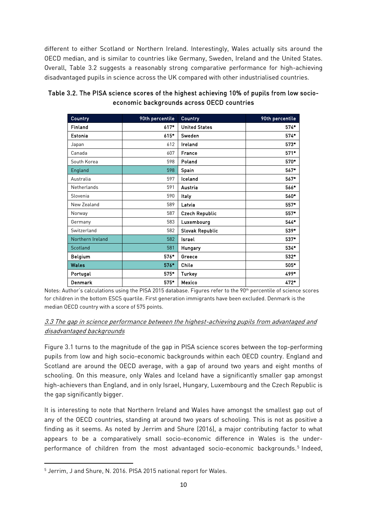different to either Scotland or Northern Ireland. Interestingly, Wales actually sits around the OECD median, and is similar to countries like Germany, Sweden, Ireland and the United States. Overall, Table 3.2 suggests a reasonably strong comparative performance for high-achieving disadvantaged pupils in science across the UK compared with other industrialised countries.

| Country          | 90th percentile | Country                | 90th percentile |
|------------------|-----------------|------------------------|-----------------|
| Finland          | $617*$          | <b>United States</b>   | $574*$          |
| Estonia          | $615*$          | Sweden                 | 574*            |
| Japan            | 612             | Ireland                | $573*$          |
| Canada           | 607             | France                 | $571*$          |
| South Korea      | 598             | Poland                 | $570*$          |
| England          | 598             | Spain                  | $567*$          |
| Australia        | 597             | Iceland                | $567*$          |
| Netherlands      | 591             | Austria                | 566*            |
| Slovenia         | 590             | Italy                  | 560*            |
| New Zealand      | 589             | Latvia                 | $557*$          |
| Norway           | 587             | <b>Czech Republic</b>  | $557*$          |
| Germany          | 583             | Luxembourg             | $544*$          |
| Switzerland      | 582             | <b>Slovak Republic</b> | 539*            |
| Northern Ireland | 582             | Israel                 | 537*            |
| Scotland         | 581             | Hungary                | 534*            |
| <b>Belgium</b>   | $576*$          | Greece                 | $532*$          |
| <b>Wales</b>     | $576*$          | Chile                  | $505*$          |
| Portugal         | 575*            | Turkey                 | 499*            |
| <b>Denmark</b>   | $575*$          | Mexico                 | 472*            |

# Table 3.2. The PISA science scores of the highest achieving 10% of pupils from low socioeconomic backgrounds across OECD countries

Notes: Author's calculations using the PISA 2015 database. Figures refer to the 90<sup>th</sup> percentile of science scores for children in the bottom ESCS quartile. First generation immigrants have been excluded. Denmark is the median OECD country with a score of 575 points.

# 3.3 The gap in science performance between the highest-achieving pupils from advantaged and disadvantaged backgrounds

Figure 3.1 turns to the magnitude of the gap in PISA science scores between the top-performing pupils from low and high socio-economic backgrounds within each OECD country. England and Scotland are around the OECD average, with a gap of around two years and eight months of schooling. On this measure, only Wales and Iceland have a significantly smaller gap amongst high-achievers than England, and in only Israel, Hungary, Luxembourg and the Czech Republic is the gap significantly bigger.

It is interesting to note that Northern Ireland and Wales have amongst the smallest gap out of any of the OECD countries, standing at around two years of schooling. This is not as positive a finding as it seems. As noted by Jerrim and Shure (2016), a major contributing factor to what appears to be a comparatively small socio-economic difference in Wales is the under-performance of children from the most advantaged socio-economic backgrounds.<sup>[5](#page-10-0)</sup> Indeed,

**.** 

<span id="page-10-0"></span><sup>5</sup> Jerrim, J and Shure, N. 2016. PISA 2015 national report for Wales.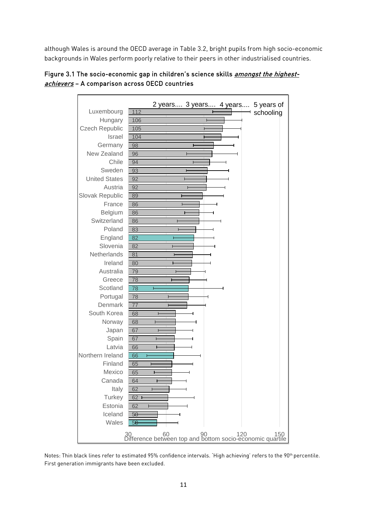although Wales is around the OECD average in Table 3.2, bright pupils from high socio-economic backgrounds in Wales perform poorly relative to their peers in other industrialised countries.



Figure 3.1 The socio-economic gap in children's science skills *amongst the highest*achievers - A comparison across OECD countries

Notes: Thin black lines refer to estimated 95% confidence intervals. 'High achieving' refers to the 90<sup>th</sup> percentile. First generation immigrants have been excluded.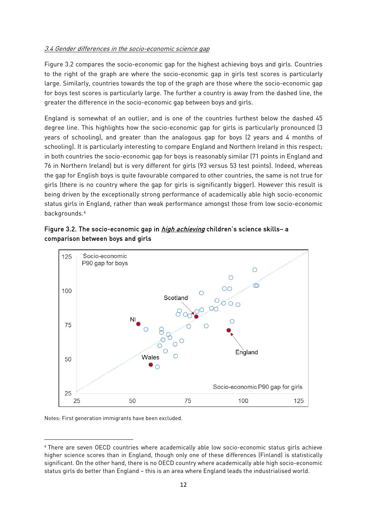#### 3.4 Gender differences in the socio-economic science gap

Figure 3.2 compares the socio-economic gap for the highest achieving boys and girls. Countries to the right of the graph are where the socio-economic gap in girls test scores is particularly large. Similarly, countries towards the top of the graph are those where the socio-economic gap for boys test scores is particularly large. The further a country is away from the dashed line, the greater the difference in the socio-economic gap between boys and girls.

England is somewhat of an outlier, and is one of the countries furthest below the dashed 45 degree line. This highlights how the socio-economic gap for girls is particularly pronounced (3 years of schooling), and greater than the analogous gap for boys (2 years and 4 months of schooling). It is particularly interesting to compare England and Northern Ireland in this respect; in both countries the socio-economic gap for boys is reasonably similar (71 points in England and 76 in Northern Ireland) but is very different for girls (93 versus 53 test points). Indeed, whereas the gap for English boys is quite favourable compared to other countries, the same is not true for girls (there is no country where the gap for girls is significantly bigger). However this result is being driven by the exceptionally strong performance of academically able high socio-economic status girls in England, rather than weak performance amongst those from low socio-economic backgrounds.<sup>[6](#page-12-0)</sup>



Figure 3.2. The socio-economic gap in *high achieving* children's science skills- a comparison between boys and girls

Notes: First generation immigrants have been excluded.

 $\overline{a}$ 

<span id="page-12-0"></span><sup>6</sup> There are seven OECD countries where academically able low socio-economic status girls achieve higher science scores than in England, though only one of these differences (Finland) is statistically significant. On the other hand, there is no OECD country where academically able high socio-economic status girls do better than England – this is an area where England leads the industrialised world.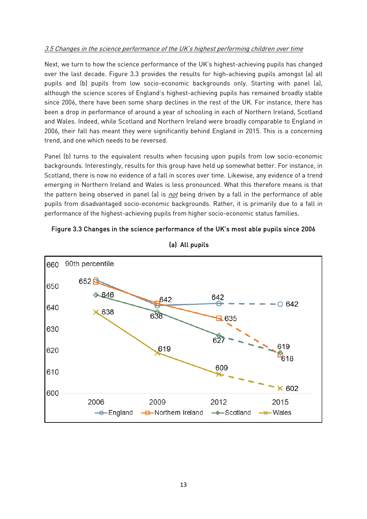## 3.5 Changes in the science performance of the UK's highest performing children over time

Next, we turn to how the science performance of the UK's highest-achieving pupils has changed over the last decade. Figure 3.3 provides the results for high-achieving pupils amongst (a) all pupils and (b) pupils from low socio-economic backgrounds only. Starting with panel (a), although the science scores of England's highest-achieving pupils has remained broadly stable since 2006, there have been some sharp declines in the rest of the UK. For instance, there has been a drop in performance of around a year of schooling in each of Northern Ireland, Scotland and Wales. Indeed, while Scotland and Northern Ireland were broadly comparable to England in 2006, their fall has meant they were significantly behind England in 2015. This is a concerning trend, and one which needs to be reversed.

Panel (b) turns to the equivalent results when focusing upon pupils from low socio-economic backgrounds. Interestingly, results for this group have held up somewhat better. For instance, in Scotland, there is now no evidence of a fall in scores over time. Likewise, any evidence of a trend emerging in Northern Ireland and Wales is less pronounced. What this therefore means is that the pattern being observed in panel (a) is *not* being driven by a fall in the performance of able pupils from disadvantaged socio-economic backgrounds. Rather, it is primarily due to a fall in performance of the highest-achieving pupils from higher socio-economic status families.





(a) All pupils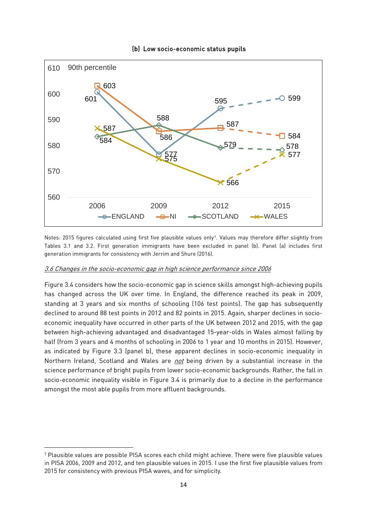

(b) Low socio-economic status pupils

Notes: 2015 figures calculated using first five plausible values only[7.](#page-14-0) Values may therefore differ slightly from Tables 3.1 and 3.2. First generation immigrants have been excluded in panel (b). Panel (a) includes first generation immigrants for consistency with Jerrim and Shure (2016).

#### 3.6 Changes in the socio-economic gap in high science performance since 2006

Figure 3.4 considers how the socio-economic gap in science skills amongst high-achieving pupils has changed across the UK over time. In England, the difference reached its peak in 2009, standing at 3 years and six months of schooling (106 test points). The gap has subsequently declined to around 88 test points in 2012 and 82 points in 2015. Again, sharper declines in socioeconomic inequality have occurred in other parts of the UK between 2012 and 2015, with the gap between high-achieving advantaged and disadvantaged 15-year-olds in Wales almost falling by half (from 3 years and 4 months of schooling in 2006 to 1 year and 10 months in 2015). However, as indicated by Figure 3.3 (panel b), these apparent declines in socio-economic inequality in Northern Ireland, Scotland and Wales are *not* being driven by a substantial increase in the science performance of bright pupils from lower socio-economic backgrounds. Rather, the fall in socio-economic inequality visible in Figure 3.4 is primarily due to a decline in the performance amongst the most able pupils from more affluent backgrounds.

 $\overline{a}$ 

<span id="page-14-0"></span><sup>7</sup> Plausible values are possible PISA scores each child might achieve. There were five plausible values in PISA 2006, 2009 and 2012, and ten plausible values in 2015. I use the first five plausible values from 2015 for consistency with previous PISA waves, and for simplicity.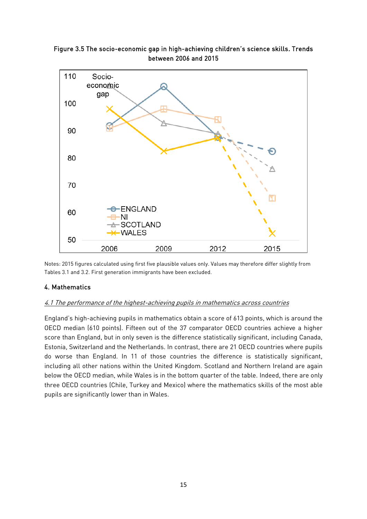

Figure 3.5 The socio-economic gap in high-achieving children's science skills. Trends between 2006 and 2015

Notes: 2015 figures calculated using first five plausible values only. Values may therefore differ slightly from Tables 3.1 and 3.2. First generation immigrants have been excluded.

# 4. Mathematics

#### 4.1 The performance of the highest-achieving pupils in mathematics across countries

England's high-achieving pupils in mathematics obtain a score of 613 points, which is around the OECD median (610 points). Fifteen out of the 37 comparator OECD countries achieve a higher score than England, but in only seven is the difference statistically significant, including Canada, Estonia, Switzerland and the Netherlands. In contrast, there are 21 OECD countries where pupils do worse than England. In 11 of those countries the difference is statistically significant, including all other nations within the United Kingdom. Scotland and Northern Ireland are again below the OECD median, while Wales is in the bottom quarter of the table. Indeed, there are only three OECD countries (Chile, Turkey and Mexico) where the mathematics skills of the most able pupils are significantly lower than in Wales.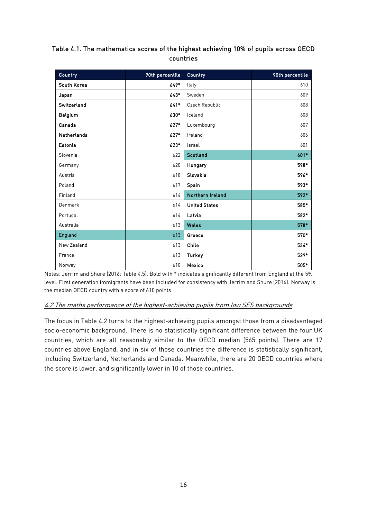# Table 4.1. The mathematics scores of the highest achieving 10% of pupils across OECD countries

| Country            | 90th percentile | Country                 | 90th percentile |
|--------------------|-----------------|-------------------------|-----------------|
| South Korea        | 649*            | Italy                   | 610             |
| Japan              | $643*$          | Sweden                  | 609             |
| Switzerland        | $641*$          | Czech Republic          | 608             |
| Belgium            | 630*            | Iceland                 | 608             |
| Canada             | $627*$          | Luxembourg              | 607             |
| <b>Netherlands</b> | $627*$          | Ireland                 | 606             |
| Estonia            | $623*$          | Israel                  | 601             |
| Slovenia           | 622             | <b>Scotland</b>         | $601*$          |
| Germany            | 620             | Hungary                 | 598*            |
| Austria            | 618             | Slovakia                | 596*            |
| Poland             | 617             | Spain                   | 593*            |
| Finland            | 614             | <b>Northern Ireland</b> | $592*$          |
| Denmark            | 614             | <b>United States</b>    | 585*            |
| Portugal           | 614             | Latvia                  | 582*            |
| Australia          | 613             | Wales                   | 578*            |
| England            | 613             | Greece                  | 570*            |
| New Zealand        | 613             | Chile                   | 534*            |
| France             | 613             | <b>Turkey</b>           | 529*            |
| Norway             | 610             | Mexico                  | $505*$          |

Notes: Jerrim and Shure (2016: Table 4.5). Bold with \* indicates significantly different from England at the 5% level. First generation immigrants have been included for consistency with Jerrim and Shure (2016). Norway is the median OECD country with a score of 610 points.

### 4.2 The maths performance of the highest-achieving pupils from low SES backgrounds

The focus in Table 4.2 turns to the highest-achieving pupils amongst those from a disadvantaged socio-economic background. There is no statistically significant difference between the four UK countries, which are all reasonably similar to the OECD median (565 points). There are 17 countries above England, and in six of those countries the difference is statistically significant, including Switzerland, Netherlands and Canada. Meanwhile, there are 20 OECD countries where the score is lower, and significantly lower in 10 of those countries.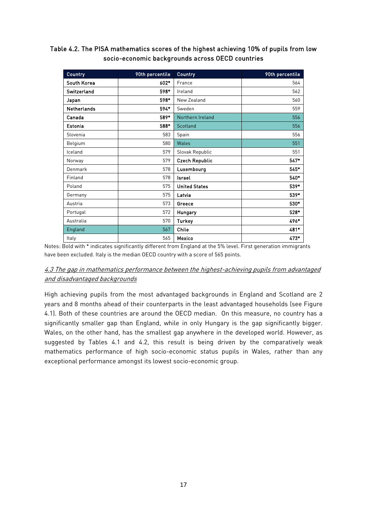| Table 4.2. The PISA mathematics scores of the highest achieving 10% of pupils from low |
|----------------------------------------------------------------------------------------|
| socio-economic backgrounds across OECD countries                                       |

| Country            | 90th percentile | Country               | 90th percentile |
|--------------------|-----------------|-----------------------|-----------------|
| South Korea        | $602*$          | France                | 564             |
| Switzerland        | 598*            | Ireland               | 562             |
| Japan              | 598*            | New Zealand           | 560             |
| <b>Netherlands</b> | 594*            | Sweden                | 559             |
| Canada             | 589*            | Northern Ireland      | 556             |
| Estonia            | 588*            | Scotland              | 556             |
| Slovenia           | 583             | Spain                 | 556             |
| Belgium            | 580             | Wales                 | 551             |
| Iceland            | 579             | Slovak Republic       | 551             |
| Norway             | 579             | <b>Czech Republic</b> | $547*$          |
| Denmark            | 578             | Luxembourg            | $545*$          |
| Finland            | 578             | <b>Israel</b>         | $540*$          |
| Poland             | 575             | <b>United States</b>  | 539*            |
| Germany            | 575             | Latvia                | 539*            |
| Austria            | 573             | Greece                | 530*            |
| Portugal           | 572             | Hungary               | 528*            |
| Australia          | 570             | Turkey                | 496*            |
| England            | 567             | Chile                 | 481*            |
| Italy              | 565             | Mexico                | 473*            |

Notes: Bold with \* indicates significantly different from England at the 5% level. First generation immigrants have been excluded. Italy is the median OECD country with a score of 565 points.

# 4.3 The gap in mathematics performance between the highest-achieving pupils from advantaged and disadvantaged backgrounds

High achieving pupils from the most advantaged backgrounds in England and Scotland are 2 years and 8 months ahead of their counterparts in the least advantaged households (see Figure 4.1). Both of these countries are around the OECD median. On this measure, no country has a significantly smaller gap than England, while in only Hungary is the gap significantly bigger. Wales, on the other hand, has the smallest gap anywhere in the developed world. However, as suggested by Tables 4.1 and 4.2, this result is being driven by the comparatively weak mathematics performance of high socio-economic status pupils in Wales, rather than any exceptional performance amongst its lowest socio-economic group.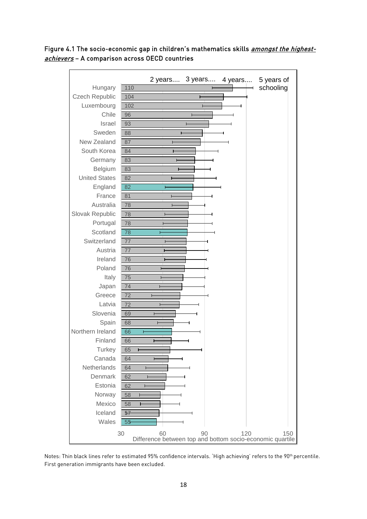



Notes: Thin black lines refer to estimated 95% confidence intervals. 'High achieving' refers to the 90<sup>th</sup> percentile. First generation immigrants have been excluded.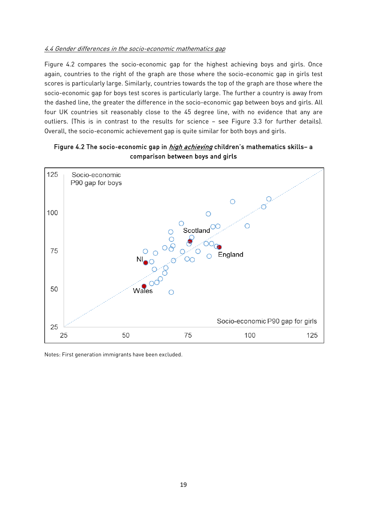#### 4.4 Gender differences in the socio-economic mathematics gap

Figure 4.2 compares the socio-economic gap for the highest achieving boys and girls. Once again, countries to the right of the graph are those where the socio-economic gap in girls test scores is particularly large. Similarly, countries towards the top of the graph are those where the socio-economic gap for boys test scores is particularly large. The further a country is away from the dashed line, the greater the difference in the socio-economic gap between boys and girls. All four UK countries sit reasonably close to the 45 degree line, with no evidence that any are outliers. (This is in contrast to the results for science – see Figure 3.3 for further details). Overall, the socio-economic achievement gap is quite similar for both boys and girls.

# Figure 4.2 The socio-economic gap in *high achieving* children's mathematics skills- a comparison between boys and girls



Notes: First generation immigrants have been excluded.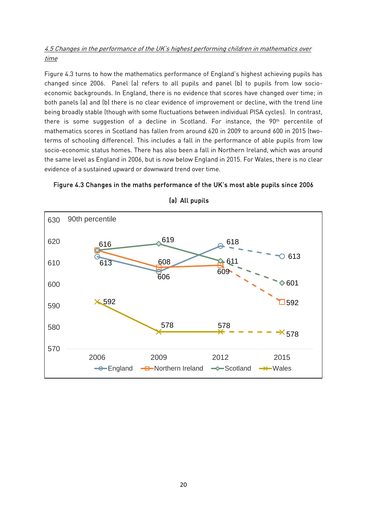# 4.5 Changes in the performance of the UK's highest performing children in mathematics over time

Figure 4.3 turns to how the mathematics performance of England's highest achieving pupils has changed since 2006. Panel (a) refers to all pupils and panel (b) to pupils from low socioeconomic backgrounds. In England, there is no evidence that scores have changed over time; in both panels (a) and (b) there is no clear evidence of improvement or decline, with the trend line being broadly stable (though with some fluctuations between individual PISA cycles). In contrast, there is some suggestion of a decline in Scotland. For instance, the 90<sup>th</sup> percentile of mathematics scores in Scotland has fallen from around 620 in 2009 to around 600 in 2015 (twoterms of schooling difference). This includes a fall in the performance of able pupils from low socio-economic status homes. There has also been a fall in Northern Ireland, which was around the same level as England in 2006, but is now below England in 2015. For Wales, there is no clear evidence of a sustained upward or downward trend over time.



Figure 4.3 Changes in the maths performance of the UK's most able pupils since 2006

20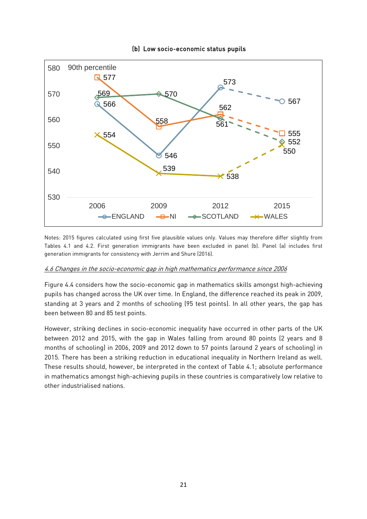

Notes: 2015 figures calculated using first five plausible values only. Values may therefore differ slightly from Tables 4.1 and 4.2. First generation immigrants have been excluded in panel (b). Panel (a) includes first generation immigrants for consistency with Jerrim and Shure (2016).

#### 4.6 Changes in the socio-economic gap in high mathematics performance since 2006

Figure 4.4 considers how the socio-economic gap in mathematics skills amongst high-achieving pupils has changed across the UK over time. In England, the difference reached its peak in 2009, standing at 3 years and 2 months of schooling (95 test points). In all other years, the gap has been between 80 and 85 test points.

However, striking declines in socio-economic inequality have occurred in other parts of the UK between 2012 and 2015, with the gap in Wales falling from around 80 points (2 years and 8 months of schooling) in 2006, 2009 and 2012 down to 57 points (around 2 years of schooling) in 2015. There has been a striking reduction in educational inequality in Northern Ireland as well. These results should, however, be interpreted in the context of Table 4.1; absolute performance in mathematics amongst high-achieving pupils in these countries is comparatively low relative to other industrialised nations.

#### (b) Low socio-economic status pupils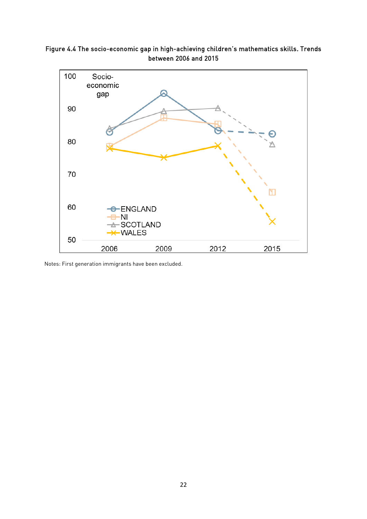

Figure 4.4 The socio-economic gap in high-achieving children's mathematics skills. Trends between 2006 and 2015

Notes: First generation immigrants have been excluded.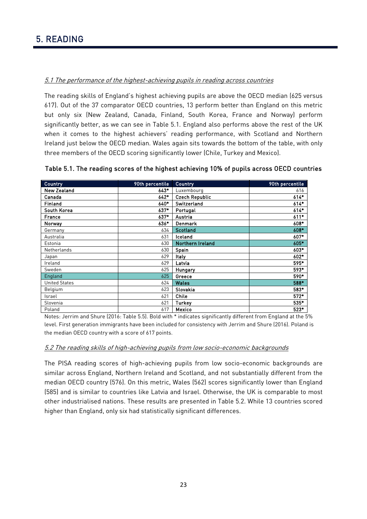Ī

## 5.1 The performance of the highest-achieving pupils in reading across countries

The reading skills of England's highest achieving pupils are above the OECD median (625 versus 617). Out of the 37 comparator OECD countries, 13 perform better than England on this metric but only six (New Zealand, Canada, Finland, South Korea, France and Norway) perform significantly better, as we can see in Table 5.1. England also performs above the rest of the UK when it comes to the highest achievers' reading performance, with Scotland and Northern Ireland just below the OECD median. Wales again sits towards the bottom of the table, with only three members of the OECD scoring significantly lower (Chile, Turkey and Mexico).

|  |  |  | Table 5.1. The reading scores of the highest achieving 10% of pupils across OECD countries |  |  |  |
|--|--|--|--------------------------------------------------------------------------------------------|--|--|--|
|  |  |  |                                                                                            |  |  |  |

| <b>Country</b>       | 90th percentile | <b>Country</b>        | 90th percentile |
|----------------------|-----------------|-----------------------|-----------------|
| <b>New Zealand</b>   | $643*$          | Luxembourg            | 616             |
|                      | $642*$          |                       | $614*$          |
| Canada               |                 | <b>Czech Republic</b> |                 |
| Finland              | 640*            | Switzerland           | $614*$          |
| South Korea          | $637*$          | Portugal              | $614*$          |
| France               | 637*            | Austria               | $611*$          |
| Norway               | $636*$          | <b>Denmark</b>        | 608*            |
| Germany              | 634             | <b>Scotland</b>       | $608*$          |
| Australia            | 631             | Iceland               | 607*            |
| Estonia              | 630             | Northern Ireland      | 605*            |
| Netherlands          | 630             | Spain                 | $603*$          |
| Japan                | 629             | Italy                 | 602*            |
| Ireland              | 629             | Latvia                | 595*            |
| Sweden               | 625             | Hungary               | 593*            |
| England              | 625             | Greece                | 590*            |
| <b>United States</b> | 624             | <b>Wales</b>          | 588*            |
| Belgium              | 623             | Slovakia              | 583*            |
| Israel               | 621             | Chile                 | $572*$          |
| Slovenia             | 621             | Turkey                | 535*            |
| Poland               | 617             | Mexico                | $523*$          |

Notes: Jerrim and Shure (2016: Table 5.5). Bold with \* indicates significantly different from England at the 5% level. First generation immigrants have been included for consistency with Jerrim and Shure (2016). Poland is the median OECD country with a score of 617 points.

#### 5.2 The reading skills of high-achieving pupils from low socio-economic backgrounds

The PISA reading scores of high-achieving pupils from low socio-economic backgrounds are similar across England, Northern Ireland and Scotland, and not substantially different from the median OECD country (576). On this metric, Wales (562) scores significantly lower than England (585) and is similar to countries like Latvia and Israel. Otherwise, the UK is comparable to most other industrialised nations. These results are presented in Table 5.2. While 13 countries scored higher than England, only six had statistically significant differences.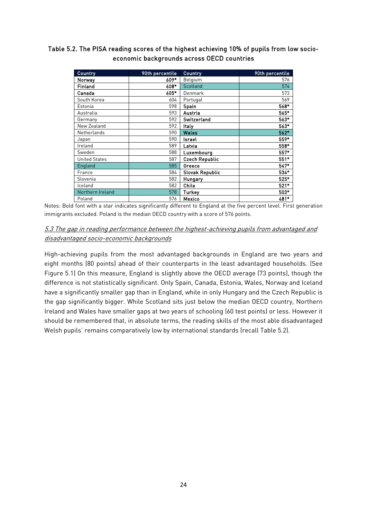# Table 5.2. The PISA reading scores of the highest achieving 10% of pupils from low socioeconomic backgrounds across OECD countries

| Country              | 90th percentile | Country               | 90th percentile |
|----------------------|-----------------|-----------------------|-----------------|
| Norway               | 609*            | Belgium               | 576             |
| <b>Finland</b>       | 608*            | Scotland              | 574             |
| Canada               | 605*            | Denmark               | 573             |
| South Korea          | 604             | Portugal              | 569             |
| Estonia              | 598             | Spain                 | 568*            |
| Australia            | 593             | Austria               | 565*            |
| Germany              | 592             | Switzerland           | $563*$          |
| New Zealand          | 592             | Italy                 | 563*            |
| Netherlands          | 590             | Wales                 | $562*$          |
| Japan                | 590             | Israel                | 559*            |
| Ireland              | 589             | Latvia                | 558*            |
| Sweden               | 588             | Luxembourg            | 557*            |
| <b>United States</b> | 587             | <b>Czech Republic</b> | $551*$          |
| England              | 585             | Greece                | $547*$          |
| France               | 584             | Slovak Republic       | 534*            |
| Slovenia             | 582             | Hungary               | $525*$          |
| Iceland              | 582             | Chile                 | $521*$          |
| Northern Ireland     | 578             | Turkey                | $503*$          |
| Poland               | 576             | Mexico                | 481*            |

Notes: Bold font with a star indicates significantly different to England at the five percent level. First generation immigrants excluded. Poland is the median OECD country with a score of 576 points.

# 5.3 The gap in reading performance between the highest-achieving pupils from advantaged and disadvantaged socio-economic backgrounds

High-achieving pupils from the most advantaged backgrounds in England are two years and eight months (80 points) ahead of their counterparts in the least advantaged households. (See Figure 5.1) On this measure, England is slightly above the OECD average (73 points), though the difference is not statistically significant. Only Spain, Canada, Estonia, Wales, Norway and Iceland have a significantly smaller gap than in England, while in only Hungary and the Czech Republic is the gap significantly bigger. While Scotland sits just below the median OECD country, Northern Ireland and Wales have smaller gaps at two years of schooling (60 test points) or less. However it should be remembered that, in absolute terms, the reading skills of the most able disadvantaged Welsh pupils' remains comparatively low by international standards (recall Table 5.2).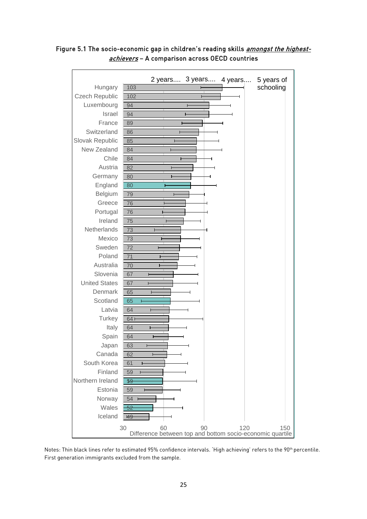

Figure 5.1 The socio-economic gap in children's reading skills *amongst the highest*achievers - A comparison across OECD countries

Notes: Thin black lines refer to estimated 95% confidence intervals. 'High achieving' refers to the 90th percentile. First generation immigrants excluded from the sample.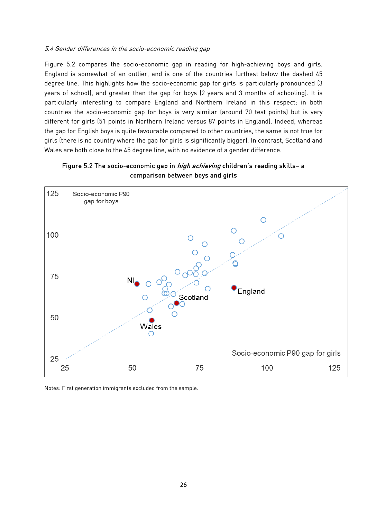#### 5.4 Gender differences in the socio-economic reading gap

Figure 5.2 compares the socio-economic gap in reading for high-achieving boys and girls. England is somewhat of an outlier, and is one of the countries furthest below the dashed 45 degree line. This highlights how the socio-economic gap for girls is particularly pronounced (3 years of school), and greater than the gap for boys (2 years and 3 months of schooling). It is particularly interesting to compare England and Northern Ireland in this respect; in both countries the socio-economic gap for boys is very similar (around 70 test points) but is very different for girls (51 points in Northern Ireland versus 87 points in England). Indeed, whereas the gap for English boys is quite favourable compared to other countries, the same is not true for girls (there is no country where the gap for girls is significantly bigger). In contrast, Scotland and Wales are both close to the 45 degree line, with no evidence of a gender difference.



Scotland

75

England

Socio-economic P90 gap for girls

125

100

Figure 5.2 The socio-economic gap in *high achieving* children's reading skills- a comparison between boys and girls

Notes: First generation immigrants excluded from the sample.

50

Wales

75

50

25

25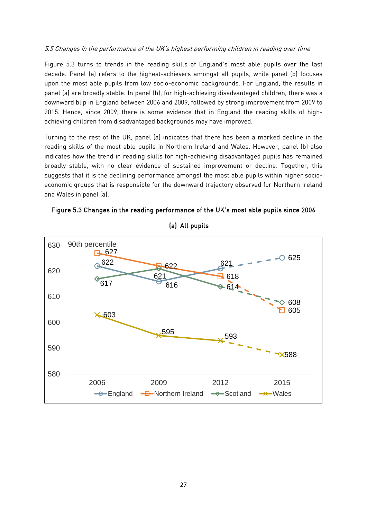## 5.5 Changes in the performance of the UK's highest performing children in reading over time

Figure 5.3 turns to trends in the reading skills of England's most able pupils over the last decade. Panel (a) refers to the highest-achievers amongst all pupils, while panel (b) focuses upon the most able pupils from low socio-economic backgrounds. For England, the results in panel (a) are broadly stable. In panel (b), for high-achieving disadvantaged children, there was a downward blip in England between 2006 and 2009, followed by strong improvement from 2009 to 2015. Hence, since 2009, there is some evidence that in England the reading skills of highachieving children from disadvantaged backgrounds may have improved.

Turning to the rest of the UK, panel (a) indicates that there has been a marked decline in the reading skills of the most able pupils in Northern Ireland and Wales. However, panel (b) also indicates how the trend in reading skills for high-achieving disadvantaged pupils has remained broadly stable, with no clear evidence of sustained improvement or decline. Together, this suggests that it is the declining performance amongst the most able pupils within higher socioeconomic groups that is responsible for the downward trajectory observed for Northern Ireland and Wales in panel (a).





(a) All pupils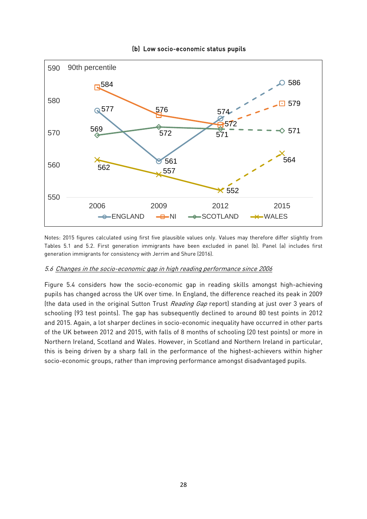

# (b) Low socio-economic status pupils

Notes: 2015 figures calculated using first five plausible values only. Values may therefore differ slightly from Tables 5.1 and 5.2. First generation immigrants have been excluded in panel (b). Panel (a) includes first generation immigrants for consistency with Jerrim and Shure (2016).

#### 5.6 Changes in the socio-economic gap in high reading performance since 2006

Figure 5.4 considers how the socio-economic gap in reading skills amongst high-achieving pupils has changed across the UK over time. In England, the difference reached its peak in 2009 (the data used in the original Sutton Trust Reading Gap report) standing at just over 3 years of schooling (93 test points). The gap has subsequently declined to around 80 test points in 2012 and 2015. Again, a lot sharper declines in socio-economic inequality have occurred in other parts of the UK between 2012 and 2015, with falls of 8 months of schooling (20 test points) or more in Northern Ireland, Scotland and Wales. However, in Scotland and Northern Ireland in particular, this is being driven by a sharp fall in the performance of the highest-achievers within higher socio-economic groups, rather than improving performance amongst disadvantaged pupils.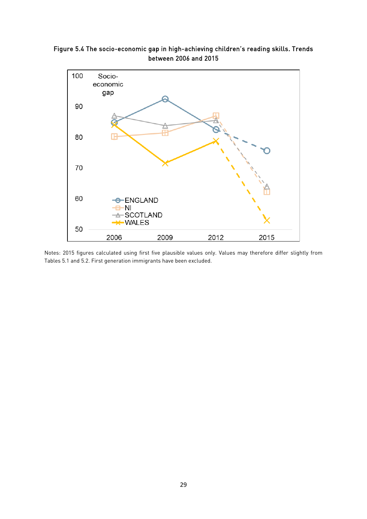



Notes: 2015 figures calculated using first five plausible values only. Values may therefore differ slightly from Tables 5.1 and 5.2. First generation immigrants have been excluded.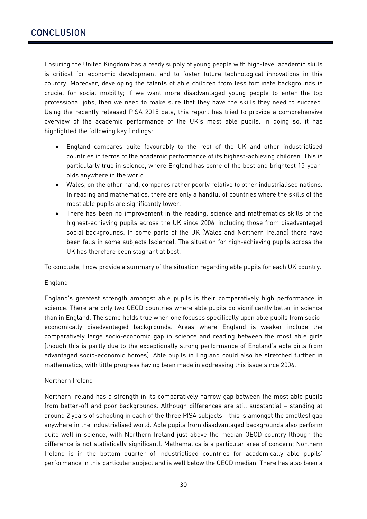Ensuring the United Kingdom has a ready supply of young people with high-level academic skills is critical for economic development and to foster future technological innovations in this country. Moreover, developing the talents of able children from less fortunate backgrounds is crucial for social mobility; if we want more disadvantaged young people to enter the top professional jobs, then we need to make sure that they have the skills they need to succeed. Using the recently released PISA 2015 data, this report has tried to provide a comprehensive overview of the academic performance of the UK's most able pupils. In doing so, it has highlighted the following key findings:

- England compares quite favourably to the rest of the UK and other industrialised countries in terms of the academic performance of its highest-achieving children. This is particularly true in science, where England has some of the best and brightest 15-yearolds anywhere in the world.
- Wales, on the other hand, compares rather poorly relative to other industrialised nations. In reading and mathematics, there are only a handful of countries where the skills of the most able pupils are significantly lower.
- There has been no improvement in the reading, science and mathematics skills of the highest-achieving pupils across the UK since 2006, including those from disadvantaged social backgrounds. In some parts of the UK (Wales and Northern Ireland) there have been falls in some subjects (science). The situation for high-achieving pupils across the UK has therefore been stagnant at best.

To conclude, I now provide a summary of the situation regarding able pupils for each UK country.

#### England

England's greatest strength amongst able pupils is their comparatively high performance in science. There are only two OECD countries where able pupils do significantly better in science than in England. The same holds true when one focuses specifically upon able pupils from socioeconomically disadvantaged backgrounds. Areas where England is weaker include the comparatively large socio-economic gap in science and reading between the most able girls (though this is partly due to the exceptionally strong performance of England's able girls from advantaged socio-economic homes). Able pupils in England could also be stretched further in mathematics, with little progress having been made in addressing this issue since 2006.

#### Northern Ireland

Northern Ireland has a strength in its comparatively narrow gap between the most able pupils from better-off and poor backgrounds. Although differences are still substantial – standing at around 2 years of schooling in each of the three PISA subjects – this is amongst the smallest gap anywhere in the industrialised world. Able pupils from disadvantaged backgrounds also perform quite well in science, with Northern Ireland just above the median OECD country (though the difference is not statistically significant). Mathematics is a particular area of concern; Northern Ireland is in the bottom quarter of industrialised countries for academically able pupils' performance in this particular subject and is well below the OECD median. There has also been a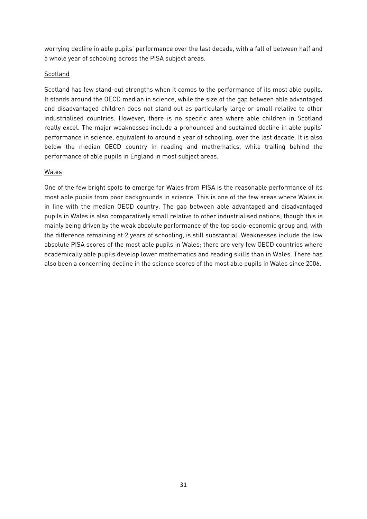worrying decline in able pupils' performance over the last decade, with a fall of between half and a whole year of schooling across the PISA subject areas.

## Scotland

Scotland has few stand-out strengths when it comes to the performance of its most able pupils. It stands around the OECD median in science, while the size of the gap between able advantaged and disadvantaged children does not stand out as particularly large or small relative to other industrialised countries. However, there is no specific area where able children in Scotland really excel. The major weaknesses include a pronounced and sustained decline in able pupils' performance in science, equivalent to around a year of schooling, over the last decade. It is also below the median OECD country in reading and mathematics, while trailing behind the performance of able pupils in England in most subject areas.

#### Wales

One of the few bright spots to emerge for Wales from PISA is the reasonable performance of its most able pupils from poor backgrounds in science. This is one of the few areas where Wales is in line with the median OECD country. The gap between able advantaged and disadvantaged pupils in Wales is also comparatively small relative to other industrialised nations; though this is mainly being driven by the weak absolute performance of the top socio-economic group and, with the difference remaining at 2 years of schooling, is still substantial. Weaknesses include the low absolute PISA scores of the most able pupils in Wales; there are very few OECD countries where academically able pupils develop lower mathematics and reading skills than in Wales. There has also been a concerning decline in the science scores of the most able pupils in Wales since 2006.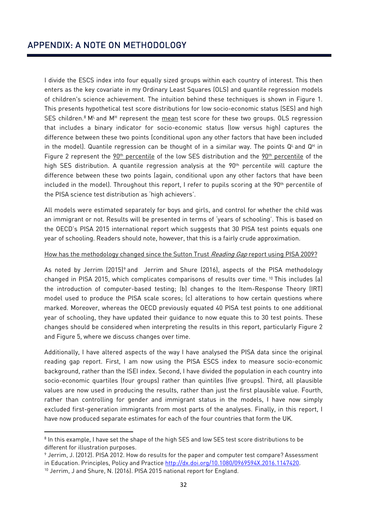I divide the ESCS index into four equally sized groups within each country of interest. This then enters as the key covariate in my Ordinary Least Squares (OLS) and quantile regression models of children's science achievement. The intuition behind these techniques is shown in Figure 1. This presents hypothetical test score distributions for low socio-economic status (SES) and high SES children.<sup>[8](#page-32-0)</sup> M<sup>L</sup> and M<sup>H</sup> represent the mean test score for these two groups. OLS regression that includes a binary indicator for socio-economic status (low versus high) captures the difference between these two points (conditional upon any other factors that have been included in the model). Quantile regression can be thought of in a similar way. The points  $Q^L$  and  $Q^H$  in Figure 2 represent the 90<sup>th</sup> percentile of the low SES distribution and the 90<sup>th</sup> percentile of the high SES distribution. A quantile regression analysis at the 90<sup>th</sup> percentile will capture the difference between these two points (again, conditional upon any other factors that have been included in the model). Throughout this report, I refer to pupils scoring at the 90<sup>th</sup> percentile of the PISA science test distribution as 'high achievers'.

All models were estimated separately for boys and girls, and control for whether the child was an immigrant or not. Results will be presented in terms of 'years of schooling'. This is based on the OECD's PISA 2015 international report which suggests that 30 PISA test points equals one year of schooling. Readers should note, however, that this is a fairly crude approximation.

#### How has the methodology changed since the Sutton Trust *Reading Gap* report using PISA 2009?

As noted by Jerrim (2015)<sup>[9](#page-32-1)</sup> and Jerrim and Shure (2016), aspects of the PISA methodology changed in PISA 2015, which complicates comparisons of results over time. [10](#page-32-2) This includes (a) the introduction of computer-based testing; (b) changes to the Item-Response Theory (IRT) model used to produce the PISA scale scores; (c) alterations to how certain questions where marked. Moreover, whereas the OECD previously equated 40 PISA test points to one additional year of schooling, they have updated their guidance to now equate this to 30 test points. These changes should be considered when interpreting the results in this report, particularly Figure 2 and Figure 5, where we discuss changes over time.

Additionally, I have altered aspects of the way I have analysed the PISA data since the original reading gap report. First, I am now using the PISA ESCS index to measure socio-economic background, rather than the ISEI index. Second, I have divided the population in each country into socio-economic quartiles (four groups) rather than quintiles (five groups). Third, all plausible values are now used in producing the results, rather than just the first plausible value. Fourth, rather than controlling for gender and immigrant status in the models, I have now simply excluded first-generation immigrants from most parts of the analyses. Finally, in this report, I have now produced separate estimates for each of the four countries that form the UK.

 $\overline{a}$ 

<span id="page-32-2"></span><span id="page-32-1"></span><sup>9</sup> Jerrim, J. (2012). PISA 2012. How do results for the paper and computer test compare? Assessment in Education. Principles, Policy and Practice [http://dx.doi.org/10.1080/0969594X.2016.1147420.](http://dx.doi.org/10.1080/0969594X.2016.1147420) <sup>10</sup> Jerrim, J and Shure, N. (2016). PISA 2015 national report for England.

<span id="page-32-0"></span><sup>&</sup>lt;sup>8</sup> In this example, I have set the shape of the high SES and low SES test score distributions to be different for illustration purposes.